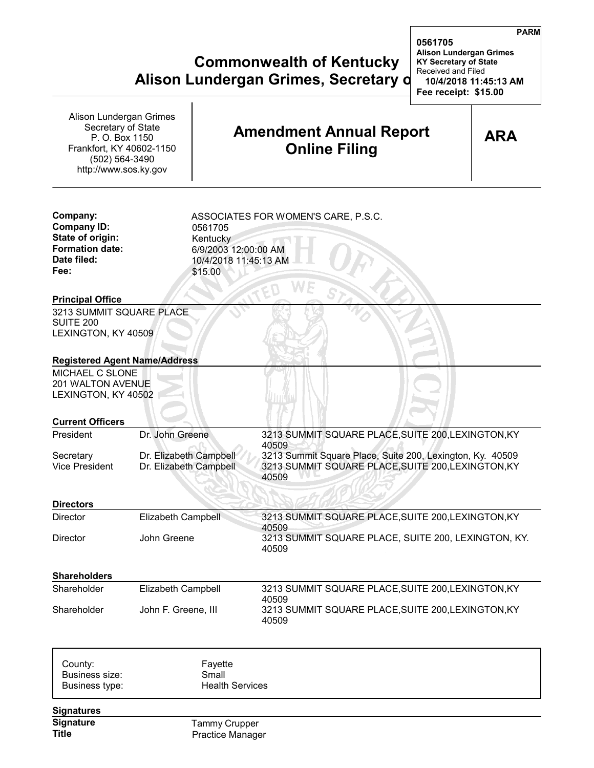## **Commonwealth of Kentucky KY Secretary of State Alison Lundergan Grimes, Secretary d** 10/4/20

| Alison Lundergan Grimes<br>Secretary of State<br>P. O. Box 1150<br>Frankfort, KY 40602-1150<br>(502) 564-3490<br>http://www.sos.ky.gov |                                                  |                                                                                                                        | <b>Amendment Annual Report</b><br><b>Online Filing</b>                                                                   | <b>ARA</b> |  |
|----------------------------------------------------------------------------------------------------------------------------------------|--------------------------------------------------|------------------------------------------------------------------------------------------------------------------------|--------------------------------------------------------------------------------------------------------------------------|------------|--|
| Company:<br><b>Company ID:</b><br>State of origin:<br><b>Formation date:</b><br>Date filed:<br>Fee:                                    |                                                  | ASSOCIATES FOR WOMEN'S CARE, P.S.C.<br>0561705<br>Kentucky<br>6/9/2003 12:00:00 AM<br>10/4/2018 11:45:13 AM<br>\$15.00 |                                                                                                                          |            |  |
| <b>Principal Office</b>                                                                                                                |                                                  |                                                                                                                        |                                                                                                                          |            |  |
| 3213 SUMMIT SQUARE PLACE<br><b>SUITE 200</b><br>LEXINGTON, KY 40509                                                                    |                                                  |                                                                                                                        |                                                                                                                          |            |  |
| <b>Registered Agent Name/Address</b><br>MICHAEL C SLONE<br>201 WALTON AVENUE<br>LEXINGTON, KY 40502                                    |                                                  |                                                                                                                        |                                                                                                                          |            |  |
| <b>Current Officers</b>                                                                                                                |                                                  |                                                                                                                        |                                                                                                                          |            |  |
| President                                                                                                                              | Dr. John Greene                                  |                                                                                                                        | 3213 SUMMIT SQUARE PLACE, SUITE 200, LEXINGTON, KY<br>40509                                                              |            |  |
| Secretary<br><b>Vice President</b>                                                                                                     | Dr. Elizabeth Campbell<br>Dr. Elizabeth Campbell |                                                                                                                        | 3213 Summit Square Place, Suite 200, Lexington, Ky. 40509<br>3213 SUMMIT SQUARE PLACE, SUITE 200, LEXINGTON, KY<br>40509 |            |  |
| <b>Directors</b>                                                                                                                       |                                                  |                                                                                                                        |                                                                                                                          |            |  |
| <b>Director</b>                                                                                                                        | <b>Elizabeth Campbell</b>                        |                                                                                                                        | 3213 SUMMIT SQUARE PLACE, SUITE 200, LEXINGTON, KY                                                                       |            |  |
| Director                                                                                                                               | John Greene                                      |                                                                                                                        | 40509<br>3213 SUMMIT SQUARE PLACE, SUITE 200, LEXINGTON, KY.<br>40509                                                    |            |  |
| <b>Shareholders</b>                                                                                                                    |                                                  |                                                                                                                        |                                                                                                                          |            |  |
| Shareholder                                                                                                                            | Elizabeth Campbell                               |                                                                                                                        | 3213 SUMMIT SQUARE PLACE, SUITE 200, LEXINGTON, KY                                                                       |            |  |
| Shareholder                                                                                                                            | John F. Greene, III                              |                                                                                                                        | 40509<br>3213 SUMMIT SQUARE PLACE, SUITE 200, LEXINGTON, KY<br>40509                                                     |            |  |
| County:<br>Business size:<br>Business type:                                                                                            |                                                  | Fayette<br>Small<br><b>Health Services</b>                                                                             |                                                                                                                          |            |  |
| <b>Signatures</b>                                                                                                                      |                                                  |                                                                                                                        |                                                                                                                          |            |  |
| Signature<br><b>Title</b>                                                                                                              |                                                  | Tammy Crupper<br><b>Practice Manager</b>                                                                               |                                                                                                                          |            |  |